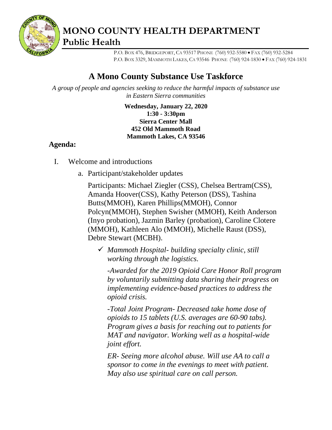

**MONO COUNTY HEALTH DEPARTMENT Public Health**

> P.O. BOX 476, BRIDGEPORT, CA 93517 PHONE (760) 932-5580 • FAX (760) 932-5284 P.O. BOX 3329, MAMMOTH LAKES, CA 93546 PHONE (760) 924-1830 • FAX (760) 924-1831

## **A Mono County Substance Use Taskforce**

*A group of people and agencies seeking to reduce the harmful impacts of substance use in Eastern Sierra communities*

> **Wednesday, January 22, 2020 1:30 - 3:30pm Sierra Center Mall 452 Old Mammoth Road Mammoth Lakes, CA 93546**

## **Agenda:**

- I. Welcome and introductions
	- a. Participant/stakeholder updates

Participants: Michael Ziegler (CSS), Chelsea Bertram(CSS), Amanda Hoover(CSS), Kathy Peterson (DSS), Tashina Butts(MMOH), Karen Phillips(MMOH), Connor Polcyn(MMOH), Stephen Swisher (MMOH), Keith Anderson (Inyo probation), Jazmin Barley (probation), Caroline Clotere (MMOH), Kathleen Alo (MMOH), Michelle Raust (DSS), Debre Stewart (MCBH).

✓ *Mammoth Hospital- building specialty clinic, still working through the logistics.*

*-Awarded for the 2019 Opioid Care Honor Roll program by voluntarily submitting data sharing their progress on implementing evidence-based practices to address the opioid crisis.*

*-Total Joint Program- Decreased take home dose of opioids to 15 tablets (U.S. averages are 60-90 tabs). Program gives a basis for reaching out to patients for MAT and navigator. Working well as a hospital-wide joint effort.* 

*ER- Seeing more alcohol abuse. Will use AA to call a sponsor to come in the evenings to meet with patient. May also use spiritual care on call person.*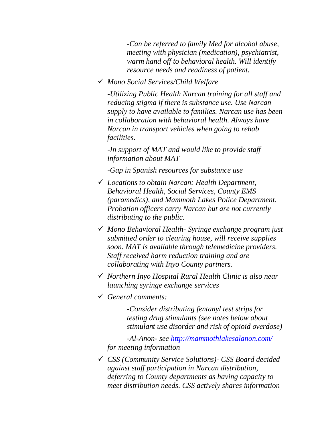*-Can be referred to family Med for alcohol abuse, meeting with physician (medication), psychiatrist, warm hand off to behavioral health. Will identify resource needs and readiness of patient.*

✓ *Mono Social Services/Child Welfare*

*-Utilizing Public Health Narcan training for all staff and reducing stigma if there is substance use. Use Narcan supply to have available to families. Narcan use has been in collaboration with behavioral health. Always have Narcan in transport vehicles when going to rehab facilities.*

*-In support of MAT and would like to provide staff information about MAT*

*-Gap in Spanish resources for substance use*

- ✓ *Locations to obtain Narcan: Health Department, Behavioral Health, Social Services, County EMS (paramedics), and Mammoth Lakes Police Department. Probation officers carry Narcan but are not currently distributing to the public.*
- ✓ *Mono Behavioral Health- Syringe exchange program just submitted order to clearing house, will receive supplies soon. MAT is available through telemedicine providers. Staff received harm reduction training and are collaborating with Inyo County partners.*
- ✓ *Northern Inyo Hospital Rural Health Clinic is also near launching syringe exchange services*
- ✓ *General comments:*

*-Consider distributing fentanyl test strips for testing drug stimulants (see notes below about stimulant use disorder and risk of opioid overdose)*

*-Al-Anon- see<http://mammothlakesalanon.com/> for meeting information*

✓ *CSS (Community Service Solutions)- CSS Board decided against staff participation in Narcan distribution, deferring to County departments as having capacity to meet distribution needs. CSS actively shares information*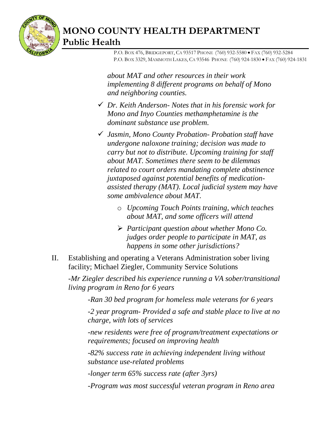

## **MONO COUNTY HEALTH DEPARTMENT Public Health**

 P.O. BOX 476, BRIDGEPORT, CA 93517 PHONE (760) 932-5580 • FAX (760) 932-5284 P.O. BOX 3329, MAMMOTH LAKES, CA 93546 PHONE (760) 924-1830 • FAX (760) 924-1831

*about MAT and other resources in their work implementing 8 different programs on behalf of Mono and neighboring counties.* 

- ✓ *Dr. Keith Anderson- Notes that in his forensic work for Mono and Inyo Counties methamphetamine is the dominant substance use problem.*
- ✓ *Jasmin, Mono County Probation- Probation staff have undergone naloxone training; decision was made to carry but not to distribute. Upcoming training for staff about MAT. Sometimes there seem to be dilemmas related to court orders mandating complete abstinence juxtaposed against potential benefits of medicationassisted therapy (MAT). Local judicial system may have some ambivalence about MAT.* 
	- o *Upcoming Touch Points training, which teaches about MAT, and some officers will attend*
	- ➢ *Participant question about whether Mono Co. judges order people to participate in MAT, as happens in some other jurisdictions?*
- II. Establishing and operating a Veterans Administration sober living facility; Michael Ziegler, Community Service Solutions

*-Mr Ziegler described his experience running a VA sober/transitional living program in Reno for 6 years*

*-Ran 30 bed program for homeless male veterans for 6 years*

*-2 year program- Provided a safe and stable place to live at no charge, with lots of services*

*-new residents were free of program/treatment expectations or requirements; focused on improving health*

*-82% success rate in achieving independent living without substance use-related problems*

*-longer term 65% success rate (after 3yrs)*

*-Program was most successful veteran program in Reno area*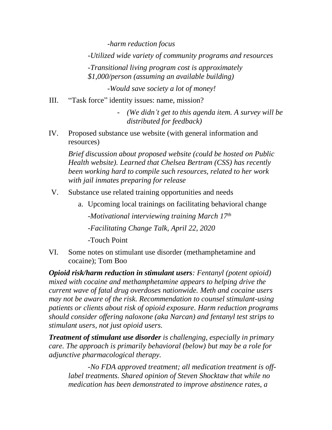*-harm reduction focus*

*-Utilized wide variety of community programs and resources*

*-Transitional living program cost is approximately \$1,000/person (assuming an available building)*

*-Would save society a lot of money!*

III. "Task force" identity issues: name, mission?

- *(We didn't get to this agenda item. A survey will be distributed for feedback)*

IV. Proposed substance use website (with general information and resources)

*Brief discussion about proposed website (could be hosted on Public Health website). Learned that Chelsea Bertram (CSS) has recently been working hard to compile such resources, related to her work with jail inmates preparing for release*

- V. Substance use related training opportunities and needs
	- a. Upcoming local trainings on facilitating behavioral change -*Motivational interviewing training March 17th -Facilitating Change Talk, April 22, 2020* -Touch Point
- VI. Some notes on stimulant use disorder (methamphetamine and cocaine); Tom Boo

*Opioid risk/harm reduction in stimulant users: Fentanyl (potent opioid) mixed with cocaine and methamphetamine appears to helping drive the current wave of fatal drug overdoses nationwide. Meth and cocaine users may not be aware of the risk. Recommendation to counsel stimulant-using patients or clients about risk of opioid exposure. Harm reduction programs should consider offering naloxone (aka Narcan) and fentanyl test strips to stimulant users, not just opioid users.*

*Treatment of stimulant use disorder is challenging, especially in primary care. The approach is primarily behavioral (below) but may be a role for adjunctive pharmacological therapy.*

*-No FDA approved treatment; all medication treatment is offlabel treatments. Shared opinion of Steven Shocktaw that while no medication has been demonstrated to improve abstinence rates, a*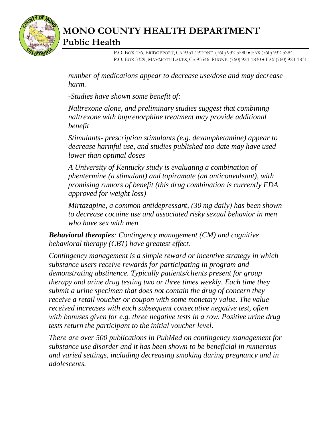

## **MONO COUNTY HEALTH DEPARTMENT Public Health**

 P.O. BOX 476, BRIDGEPORT, CA 93517 PHONE (760) 932-5580 • FAX (760) 932-5284 P.O. BOX 3329, MAMMOTH LAKES, CA 93546 PHONE (760) 924-1830 • FAX (760) 924-1831

*number of medications appear to decrease use/dose and may decrease harm.* 

*-Studies have shown some benefit of:*

*Naltrexone alone, and preliminary studies suggest that combining naltrexone with buprenorphine treatment may provide additional benefit*

*Stimulants- prescription stimulants (e.g. dexamphetamine) appear to decrease harmful use, and studies published too date may have used lower than optimal doses* 

*A University of Kentucky study is evaluating a combination of phentermine (a stimulant) and topiramate (an anticonvulsant), with promising rumors of benefit (this drug combination is currently FDA approved for weight loss)*

*Mirtazapine, a common antidepressant, (30 mg daily) has been shown to decrease cocaine use and associated risky sexual behavior in men who have sex with men*

*Behavioral therapies: Contingency management (CM) and cognitive behavioral therapy (CBT) have greatest effect.* 

*Contingency management is a simple reward or incentive strategy in which substance users receive rewards for participating in program and demonstrating abstinence. Typically patients/clients present for group therapy and urine drug testing two or three times weekly. Each time they submit a urine specimen that does not contain the drug of concern they receive a retail voucher or coupon with some monetary value. The value received increases with each subsequent consecutive negative test, often with bonuses given for e.g. three negative tests in a row. Positive urine drug tests return the participant to the initial voucher level.* 

*There are over 500 publications in PubMed on contingency management for substance use disorder and it has been shown to be beneficial in numerous and varied settings, including decreasing smoking during pregnancy and in adolescents.*